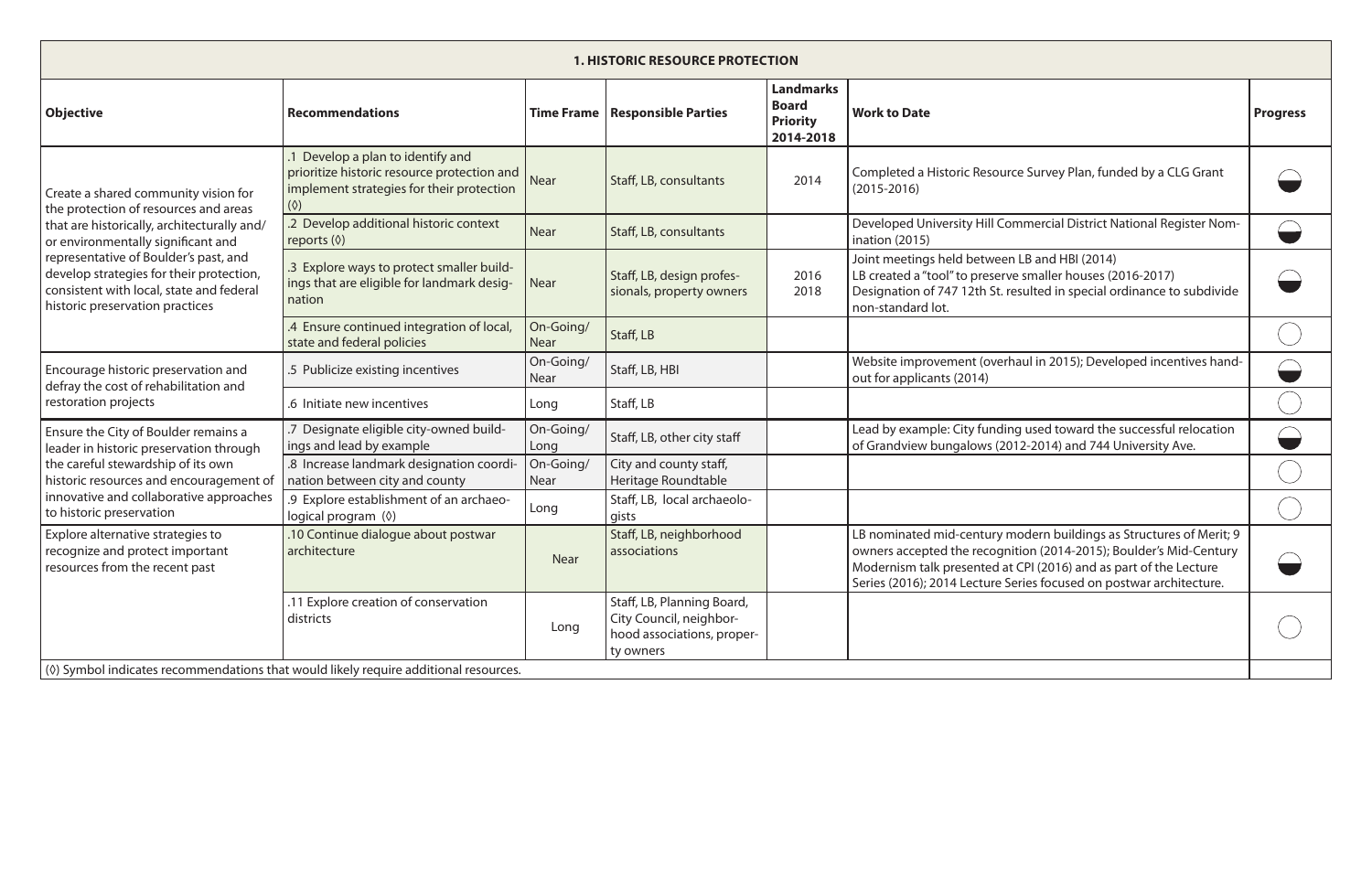| <b>1. HISTORIC RESOURCE PROTECTION</b>                                                                                                                                                                                                                                                                                                 |                                                                                                                                                                          |                          |                                                                                                  |                                                                  |                                                                                                                                                                                                                                                                                       |                 |  |  |
|----------------------------------------------------------------------------------------------------------------------------------------------------------------------------------------------------------------------------------------------------------------------------------------------------------------------------------------|--------------------------------------------------------------------------------------------------------------------------------------------------------------------------|--------------------------|--------------------------------------------------------------------------------------------------|------------------------------------------------------------------|---------------------------------------------------------------------------------------------------------------------------------------------------------------------------------------------------------------------------------------------------------------------------------------|-----------------|--|--|
| <b>Objective</b>                                                                                                                                                                                                                                                                                                                       | <b>Recommendations</b>                                                                                                                                                   |                          | Time Frame   Responsible Parties                                                                 | <b>Landmarks</b><br><b>Board</b><br><b>Priority</b><br>2014-2018 | <b>Work to Date</b>                                                                                                                                                                                                                                                                   | <b>Progress</b> |  |  |
| Create a shared community vision for<br>the protection of resources and areas<br>that are historically, architecturally and/<br>or environmentally significant and<br>representative of Boulder's past, and<br>develop strategies for their protection,<br>consistent with local, state and federal<br>historic preservation practices | Develop a plan to identify and<br>prioritize historic resource protection and $\bigcap_{N \in \mathcal{N}}$<br>implement strategies for their protection<br>$(\Diamond)$ |                          | Staff, LB, consultants                                                                           | 2014                                                             | Completed a Historic Resource Survey Plan, funded by a CLG Grant<br>$(2015 - 2016)$                                                                                                                                                                                                   |                 |  |  |
|                                                                                                                                                                                                                                                                                                                                        | .2 Develop additional historic context<br>reports $(\Diamond)$                                                                                                           | <b>Near</b>              | Staff, LB, consultants                                                                           |                                                                  | Developed University Hill Commercial District National Register Nom-<br>ination (2015)                                                                                                                                                                                                |                 |  |  |
|                                                                                                                                                                                                                                                                                                                                        | .3 Explore ways to protect smaller build-<br>ings that are eligible for landmark desig-<br>nation                                                                        | <b>Near</b>              | Staff, LB, design profes-<br>sionals, property owners                                            | 2016<br>2018                                                     | Joint meetings held between LB and HBI (2014)<br>LB created a "tool" to preserve smaller houses (2016-2017)<br>Designation of 747 12th St. resulted in special ordinance to subdivide<br>non-standard lot.                                                                            |                 |  |  |
|                                                                                                                                                                                                                                                                                                                                        | .4 Ensure continued integration of local,<br>state and federal policies                                                                                                  | On-Going/<br><b>Near</b> | Staff, LB                                                                                        |                                                                  |                                                                                                                                                                                                                                                                                       |                 |  |  |
| Encourage historic preservation and<br>defray the cost of rehabilitation and<br>restoration projects                                                                                                                                                                                                                                   | .5 Publicize existing incentives                                                                                                                                         | On-Going/<br><b>Near</b> | Staff, LB, HBI                                                                                   |                                                                  | Website improvement (overhaul in 2015); Developed incentives hand-<br>out for applicants (2014)                                                                                                                                                                                       |                 |  |  |
|                                                                                                                                                                                                                                                                                                                                        | .6 Initiate new incentives                                                                                                                                               | Long                     | Staff, LB                                                                                        |                                                                  |                                                                                                                                                                                                                                                                                       |                 |  |  |
| Ensure the City of Boulder remains a<br>leader in historic preservation through<br>the careful stewardship of its own<br>historic resources and encouragement of<br>innovative and collaborative approaches<br>to historic preservation                                                                                                | .7 Designate eligible city-owned build-<br>ings and lead by example                                                                                                      | On-Going/<br>Long        | Staff, LB, other city staff                                                                      |                                                                  | Lead by example: City funding used toward the successful relocation<br>of Grandview bungalows (2012-2014) and 744 University Ave.                                                                                                                                                     |                 |  |  |
|                                                                                                                                                                                                                                                                                                                                        | .8 Increase landmark designation coordi-<br>nation between city and county                                                                                               | On-Going/<br>Near        | City and county staff,<br>Heritage Roundtable                                                    |                                                                  |                                                                                                                                                                                                                                                                                       |                 |  |  |
|                                                                                                                                                                                                                                                                                                                                        | .9 Explore establishment of an archaeo-<br>logical program (0)                                                                                                           | Long                     | Staff, LB, local archaeolo-<br>gists                                                             |                                                                  |                                                                                                                                                                                                                                                                                       |                 |  |  |
| Explore alternative strategies to<br>recognize and protect important<br>resources from the recent past                                                                                                                                                                                                                                 | 10 Continue dialogue about postwar<br>architecture                                                                                                                       | <b>Near</b>              | Staff, LB, neighborhood<br>associations                                                          |                                                                  | LB nominated mid-century modern buildings as Structures of Merit; 9<br>owners accepted the recognition (2014-2015); Boulder's Mid-Century<br>Modernism talk presented at CPI (2016) and as part of the Lecture<br>Series (2016); 2014 Lecture Series focused on postwar architecture. |                 |  |  |
|                                                                                                                                                                                                                                                                                                                                        | .11 Explore creation of conservation<br>districts                                                                                                                        | Long                     | Staff, LB, Planning Board,<br>City Council, neighbor-<br>hood associations, proper-<br>ty owners |                                                                  |                                                                                                                                                                                                                                                                                       |                 |  |  |
| (0) Symbol indicates recommendations that would likely require additional resources.                                                                                                                                                                                                                                                   |                                                                                                                                                                          |                          |                                                                                                  |                                                                  |                                                                                                                                                                                                                                                                                       |                 |  |  |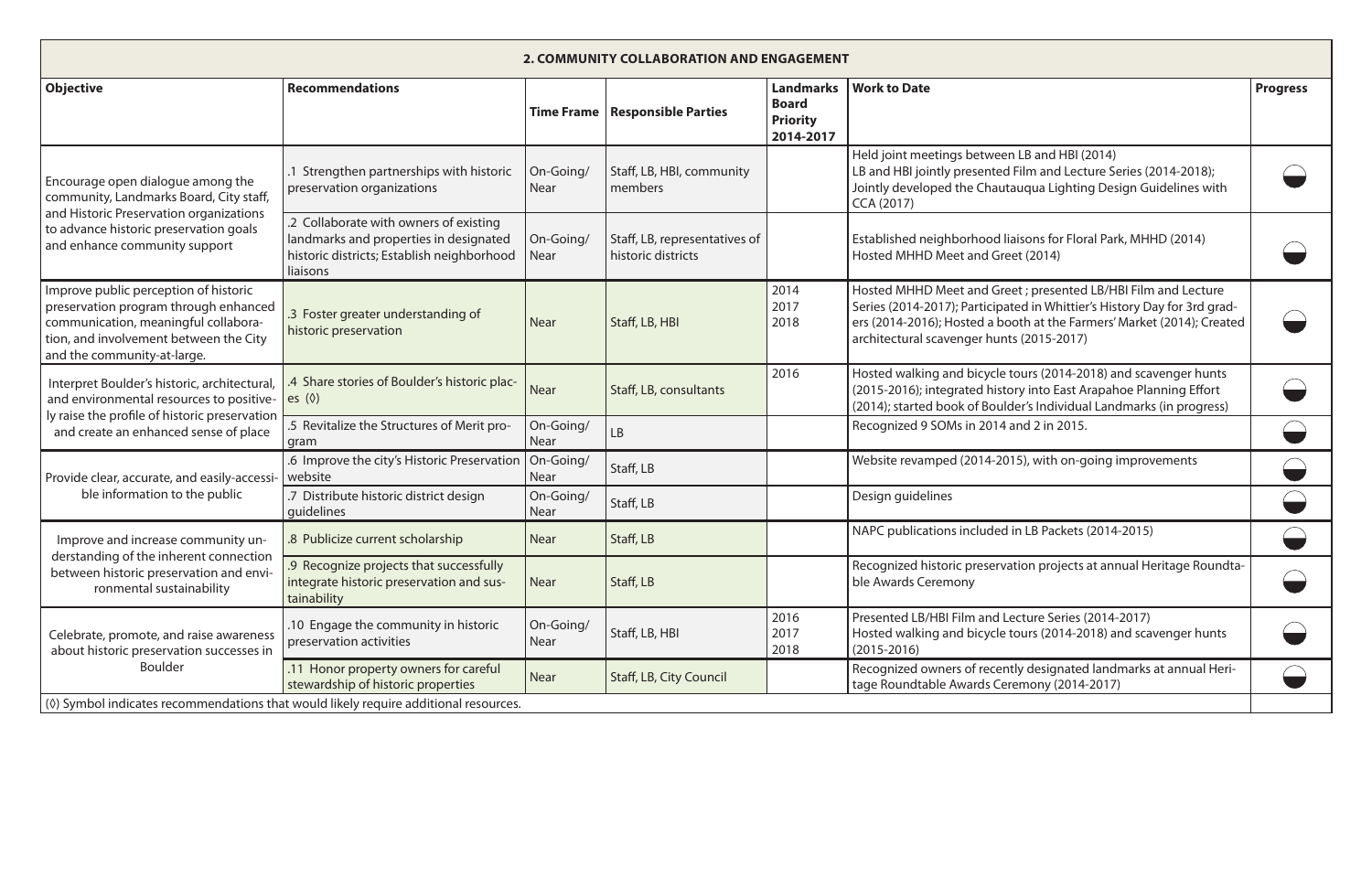| 2. COMMUNITY COLLABORATION AND ENGAGEMENT                                                                                                                                                          |                                                                                                                                            |                          |                                                     |                                                                  |                                                                                                                                                                                                                                                                   |                 |  |  |
|----------------------------------------------------------------------------------------------------------------------------------------------------------------------------------------------------|--------------------------------------------------------------------------------------------------------------------------------------------|--------------------------|-----------------------------------------------------|------------------------------------------------------------------|-------------------------------------------------------------------------------------------------------------------------------------------------------------------------------------------------------------------------------------------------------------------|-----------------|--|--|
| <b>Objective</b>                                                                                                                                                                                   | <b>Recommendations</b>                                                                                                                     | <b>Time Frame</b>        | <b>Responsible Parties</b>                          | <b>Landmarks</b><br><b>Board</b><br><b>Priority</b><br>2014-2017 | <b>Work to Date</b>                                                                                                                                                                                                                                               | <b>Progress</b> |  |  |
| Encourage open dialogue among the<br>community, Landmarks Board, City staff,<br>and Historic Preservation organizations<br>to advance historic preservation goals<br>and enhance community support | Strengthen partnerships with historic<br>preservation organizations                                                                        | On-Going/<br><b>Near</b> | Staff, LB, HBI, community<br>members                |                                                                  | Held joint meetings between LB and HBI (2014)<br>LB and HBI jointly presented Film and Lecture Series (2014-2018);<br>Jointly developed the Chautauqua Lighting Design Guidelines with<br>CCA (2017)                                                              |                 |  |  |
|                                                                                                                                                                                                    | .2 Collaborate with owners of existing<br>landmarks and properties in designated<br>historic districts; Establish neighborhood<br>liaisons | On-Going/<br><b>Near</b> | Staff, LB, representatives of<br>historic districts |                                                                  | Established neighborhood liaisons for Floral Park, MHHD (2014)<br>Hosted MHHD Meet and Greet (2014)                                                                                                                                                               |                 |  |  |
| Improve public perception of historic<br>preservation program through enhanced<br>communication, meaningful collabora-<br>tion, and involvement between the City<br>and the community-at-large.    | .3 Foster greater understanding of<br>historic preservation                                                                                | <b>Near</b>              | Staff, LB, HBI                                      | 2014<br>2017<br>2018                                             | Hosted MHHD Meet and Greet ; presented LB/HBI Film and Lecture<br>Series (2014-2017); Participated in Whittier's History Day for 3rd grad-<br>ers (2014-2016); Hosted a booth at the Farmers' Market (2014); Created<br>architectural scavenger hunts (2015-2017) |                 |  |  |
| Interpret Boulder's historic, architectural,<br>and environmental resources to positive-<br>ly raise the profile of historic preservation<br>and create an enhanced sense of place                 | .4 Share stories of Boulder's historic plac-<br>es $(\Diamond)$                                                                            | <b>Near</b>              | Staff, LB, consultants                              | 2016                                                             | Hosted walking and bicycle tours (2014-2018) and scavenger hunts<br>(2015-2016); integrated history into East Arapahoe Planning Effort<br>(2014); started book of Boulder's Individual Landmarks (in progress)                                                    |                 |  |  |
|                                                                                                                                                                                                    | .5 Revitalize the Structures of Merit pro-<br>gram                                                                                         | On-Going/<br>Near        | LB                                                  |                                                                  | Recognized 9 SOMs in 2014 and 2 in 2015.                                                                                                                                                                                                                          |                 |  |  |
| Provide clear, accurate, and easily-accessi-<br>ble information to the public                                                                                                                      | .6 Improve the city's Historic Preservation<br>website                                                                                     | On-Going/<br><b>Near</b> | Staff, LB                                           |                                                                  | Website revamped (2014-2015), with on-going improvements                                                                                                                                                                                                          |                 |  |  |
|                                                                                                                                                                                                    | .7 Distribute historic district design<br>quidelines                                                                                       | On-Going/<br>Near        | Staff, LB                                           |                                                                  | Design guidelines                                                                                                                                                                                                                                                 |                 |  |  |
| Improve and increase community un-<br>derstanding of the inherent connection<br>between historic preservation and envi-<br>ronmental sustainability                                                | .8 Publicize current scholarship                                                                                                           | <b>Near</b>              | Staff, LB                                           |                                                                  | NAPC publications included in LB Packets (2014-2015)                                                                                                                                                                                                              |                 |  |  |
|                                                                                                                                                                                                    | .9 Recognize projects that successfully<br>integrate historic preservation and sus-<br>tainability                                         | <b>Near</b>              | Staff, LB                                           |                                                                  | Recognized historic preservation projects at annual Heritage Roundta-<br>ble Awards Ceremony                                                                                                                                                                      |                 |  |  |
| Celebrate, promote, and raise awareness<br>about historic preservation successes in<br><b>Boulder</b>                                                                                              | 10 Engage the community in historic<br>preservation activities                                                                             | On-Going/<br>Near        | Staff, LB, HBI                                      | 2016<br>2017<br>2018                                             | Presented LB/HBI Film and Lecture Series (2014-2017)<br>Hosted walking and bicycle tours (2014-2018) and scavenger hunts<br>$(2015 - 2016)$                                                                                                                       |                 |  |  |
|                                                                                                                                                                                                    | .11 Honor property owners for careful<br>stewardship of historic properties                                                                | <b>Near</b>              | Staff, LB, City Council                             |                                                                  | Recognized owners of recently designated landmarks at annual Heri-<br>tage Roundtable Awards Ceremony (2014-2017)                                                                                                                                                 |                 |  |  |
| (0) Symbol indicates recommendations that would likely require additional resources.                                                                                                               |                                                                                                                                            |                          |                                                     |                                                                  |                                                                                                                                                                                                                                                                   |                 |  |  |